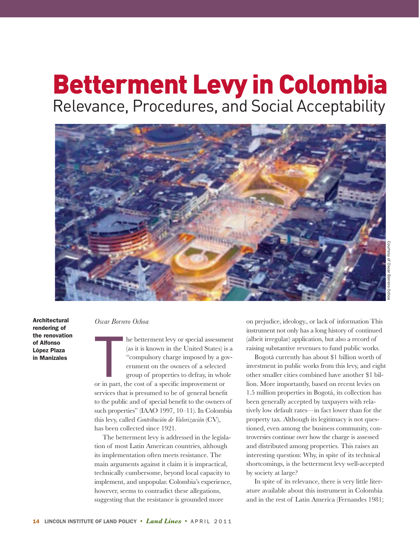# Betterment Levy in Colombia Relevance, Procedures, and Social Acceptability



**Architectural rendering of the renovation of Alfonso López Plaza in Manizales**

## *Oscar Borrero Ochoa*

I he betterment levy or special assessme<br>
(as it is known in the United States) is<br>
"compulsory charge imposed by a gc<br>
ernment on the owners of a selected<br>
group of properties to defray, in who<br>
or in part, the cost of a he betterment levy or special assessment (as it is known in the United States) is a "compulsory charge imposed by a government on the owners of a selected group of properties to defray, in whole services that is presumed to be of general benefit to the public and of special benefit to the owners of such properties" (IAAO 1997, 10–11). In Colombia this levy, called *Contribución de Valorización* (CV), has been collected since 1921.

 The betterment levy is addressed in the legislation of most Latin American countries, although its implementation often meets resistance. The main arguments against it claim it is impractical, technically cumbersome, beyond local capacity to implement, and unpopular. Colombia's experience, however, seems to contradict these allegations, suggesting that the resistance is grounded more

on prejudice, ideology., or lack of information This instrument not only has a long history of continued (albeit irregular) application, but also a record of raising substantive revenues to fund public works.

 Bogotá currently has about \$1 billion worth of investment in public works from this levy, and eight other smaller cities combined have another \$1 billion. More importantly, based on recent levies on 1.5 million properties in Bogotá, its collection has been generally accepted by taxpayers with relatively low default rates—in fact lower than for the property tax. Although its legitimacy is not questioned, even among the business community, controversies continue over how the charge is assessed and distributed among properties. This raises an interesting question: Why, in spite of its technical shortcomings, is the betterment levy well-accepted by society at large?

 In spite of its relevance, there is very little literature available about this instrument in Colombia and in the rest of Latin America (Fernandes 1981;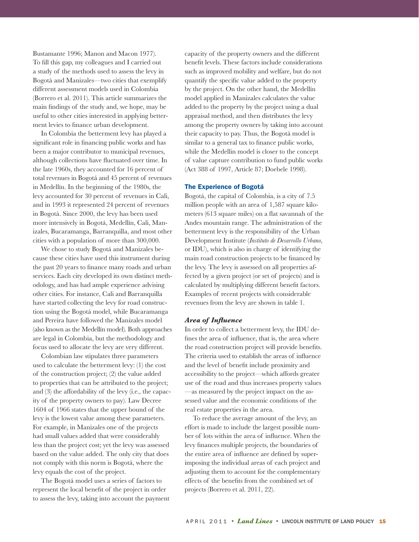Bustamante 1996; Manon and Macon 1977). To fill this gap, my colleagues and I carried out a study of the methods used to assess the levy in Bogotá and Manizales—two cities that exemplify different assessment models used in Colombia (Borrero et al. 2011). This article summarizes the main findings of the study and, we hope, may be useful to other cities interested in applying betterment levies to finance urban development.

 In Colombia the betterment levy has played a significant role in financing public works and has been a major contributor to municipal revenues, although collections have fluctuated over time. In the late 1960s, they accounted for 16 percent of total revenues in Bogotá and 45 percent of revenues in Medellín. In the beginning of the 1980s, the levy accounted for 30 percent of revenues in Cali, and in 1993 it represented 24 percent of revenues in Bogotá. Since 2000, the levy has been used more intensively in Bogotá, Medellín, Cali, Manizales, Bucaramanga, Barranquilla, and most other cities with a population of more than 300,000.

 We chose to study Bogotá and Manizales because these cities have used this instrument during the past 20 years to finance many roads and urban services. Each city developed its own distinct methodology, and has had ample experience advising other cities. For instance, Cali and Barranquilla have started collecting the levy for road construction using the Bogotá model, while Bucaramanga and Pereira have followed the Manizales model (also known as the Medellín model). Both approaches are legal in Colombia, but the methodology and focus used to allocate the levy are very different.

 Colombian law stipulates three parameters used to calculate the betterment levy: (1) the cost of the construction project; (2) the value added to properties that can be attributed to the project; and (3) the affordability of the levy (i.e., the capacity of the property owners to pay). Law Decree 1604 of 1966 states that the upper bound of the levy is the lowest value among these parameters. For example, in Manizales one of the projects had small values added that were considerably less than the project cost; yet the levy was assessed based on the value added. The only city that does not comply with this norm is Bogotá, where the levy equals the cost of the project.

 The Bogotá model uses a series of factors to represent the local benefit of the project in order to assess the levy, taking into account the payment capacity of the property owners and the different benefit levels. These factors include considerations such as improved mobility and welfare, but do not quantify the specific value added to the property by the project. On the other hand, the Medellín model applied in Manizales calculates the value added to the property by the project using a dual appraisal method, and then distributes the levy among the property owners by taking into account their capacity to pay. Thus, the Bogotá model is similar to a general tax to finance public works, while the Medellin model is closer to the concept of value capture contribution to fund public works (Act 388 of 1997, Article 87; Doebele 1998).

## **The Experience of Bogotá**

Bogotá, the capital of Colombia, is a city of 7.5 million people with an area of 1,587 square kilometers (613 square miles) on a flat savannah of the Andes mountain range. The administration of the betterment levy is the responsibility of the Urban Development Institute (*Instituto de Desarrollo Urbano*, or IDU), which is also in charge of identifying the main road construction projects to be financed by the levy. The levy is assessed on all properties affected by a given project (or set of projects) and is calculated by multiplying different benefit factors. Examples of recent projects with considerable revenues from the levy are shown in table 1.

## *Area of Influence*

In order to collect a betterment levy, the IDU defines the area of influence, that is, the area where the road construction project will provide benefits. The criteria used to establish the areas of influence and the level of benefit include proximity and accessibility to the project—which affords greater use of the road and thus increases property values —as measured by the project impact on the assessed value and the economic conditions of the real estate properties in the area.

 To reduce the average amount of the levy, an effort is made to include the largest possible number of lots within the area of influence. When the levy finances multiple projects, the boundaries of the entire area of influence are defined by superimposing the individual areas of each project and adjusting them to account for the complementary effects of the benefits from the combined set of projects (Borrero et al. 2011, 22).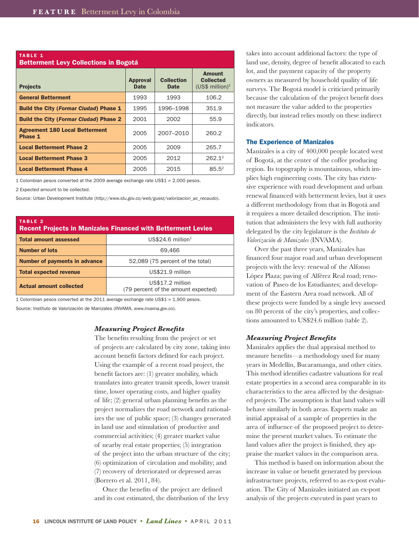| <b>TABLE 1</b><br><b>Betterment Levy Collections in Bogotá</b> |                                |                                  |                                                                  |  |  |  |  |  |
|----------------------------------------------------------------|--------------------------------|----------------------------------|------------------------------------------------------------------|--|--|--|--|--|
| <b>Projects</b>                                                | <b>Approval</b><br><b>Date</b> | <b>Collection</b><br><b>Date</b> | <b>Amount</b><br><b>Collected</b><br>(US\$ million) <sup>1</sup> |  |  |  |  |  |
| <b>General Betterment</b>                                      | 1993                           | 1993                             | 106.2                                                            |  |  |  |  |  |
| <b>Build the City (Formar Ciudad) Phase 1</b>                  | 1995                           | 1996-1998                        | 351.9                                                            |  |  |  |  |  |
| <b>Build the City (Formar Ciudad) Phase 2</b>                  | 2001                           | 2002                             | 55.9                                                             |  |  |  |  |  |
| <b>Agreement 180 Local Betterment</b><br>Phase 1               | 2005                           | 2007-2010                        | 260.2                                                            |  |  |  |  |  |
| <b>Local Betterment Phase 2</b>                                | 2005                           | 2009                             | 265.7                                                            |  |  |  |  |  |
| <b>Local Betterment Phase 3</b>                                | 2005                           | 2012                             | 262.12                                                           |  |  |  |  |  |
| <b>Local Betterment Phase 4</b>                                | 2005                           | 2015                             | $85.5^2$                                                         |  |  |  |  |  |

1 Colombian pesos converted at the 2009 average exchange rate US\$1 = 2,000 pesos.

2 Expected amount to be collected.

Source: Urban Development Institute (http://www.idu.gov.co/web/guest/valorizacion\_ac\_recaudo).

| TABLE 2<br><b>Recent Projects in Manizales Financed with Betterment Levies</b> |                                                         |  |  |  |  |
|--------------------------------------------------------------------------------|---------------------------------------------------------|--|--|--|--|
| <b>Total amount assessed</b>                                                   | $US$24.6$ million <sup>1</sup>                          |  |  |  |  |
| <b>Number of lots</b>                                                          | 69.466                                                  |  |  |  |  |
| <b>Number of payments in advance</b>                                           | 52,089 (75 percent of the total)                        |  |  |  |  |
| <b>Total expected revenue</b>                                                  | US\$21.9 million                                        |  |  |  |  |
| <b>Actual amount collected</b>                                                 | US\$17.2 million<br>(79 percent of the amount expected) |  |  |  |  |

1 Colombian pesos converted at the 2011 average exchange rate US\$1 = 1,900 pesos. Source: Instituto de Valorización de Manizales (INVAMA, www.invama.gov.co).

## *Measuring Project Benefits*

The benefits resulting from the project or set of projects are calculated by city zone, taking into account benefit factors defined for each project. Using the example of a recent road project, the benefit factors are: (1) greater mobility, which translates into greater transit speeds, lower transit time, lower operating costs, and higher quality of life; (2) general urban planning benefits as the project normalizes the road network and rationalizes the use of public space; (3) changes generated in land use and stimulation of productive and commercial activities; (4) greater market value of nearby real estate properties; (5) integration of the project into the urban structure of the city; (6) optimization of circulation and mobility; and (7) recovery of deteriorated or depressed areas (Borrero et al. 2011, 84).

 Once the benefits of the project are defined and its cost estimated, the distribution of the levy takes into account additional factors: the type of land use, density, degree of benefit allocated to each lot, and the payment capacity of the property owners as measured by household quality of life surveys. The Bogotá model is criticized primarily because the calculation of the project benefit does not measure the value added to the properties directly, but instead relies mostly on these indirect indicators.

### **The Experience of Manizales**

Manizales is a city of 400,000 people located west of Bogotá, at the center of the coffee producing region. Its topography is mountainous, which implies high engineering costs. The city has extensive experience with road development and urban renewal financed with betterment levies, but it uses a different methodology from that in Bogotá and it requires a more detailed description. The institution that administers the levy with full authority delegated by the city legislature is the *Instituto de Valorización de Manizales* (INVAMA).

 Over the past three years, Manizales has financed four major road and urban development projects with the levy: renewal of the Alfonso López Plaza; paving of Alférez Real road; renovation of Paseo de los Estudiantes; and development of the Eastern Area road network. All of these projects were funded by a single levy assessed on 80 percent of the city's properties, and collections amounted to US\$24.6 million (table 2).

## *Measuring Project Benefits*

Manizales applies the dual appraisal method to measure benefits—a methodology used for many years in Medellín, Bucaramanga, and other cities. This method identifies cadastre valuations for real estate properties in a second area comparable in its characteristics to the area affected by the designated projects. The assumption is that land values will behave similarly in both areas. Experts make an initial appraisal of a sample of properties in the area of influence of the proposed project to determine the present market values. To estimate the land values after the project is finished, they appraise the market values in the comparison area.

 This method is based on information about the increase in value or benefit generated by previous infrastructure projects, referred to as ex-post evaluation. The City of Manizales initiated an ex-post analysis of the projects executed in past years to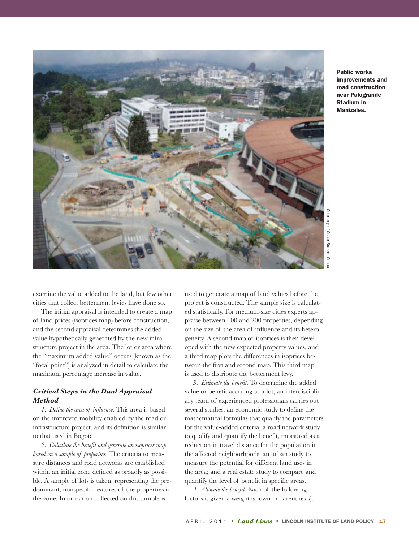

**Public works improvements and road construction near Palogrande Stadium in Manizales.**

Courtesy of Oscar Borrero OchoaCourtesy of Oscar Borrero Ochoa

examine the value added to the land, but few other cities that collect betterment levies have done so.

 The initial appraisal is intended to create a map of land prices (isoprices map) before construction, and the second appraisal determines the added value hypothetically generated by the new infrastructure project in the area. The lot or area where the "maximum added value" occurs (known as the "focal point") is analyzed in detail to calculate the maximum percentage increase in value.

## *Critical Steps in the Dual Appraisal Method*

*1. Define the area of influence.* This area is based on the improved mobility enabled by the road or infrastructure project, and its definition is similar to that used in Bogotá.

*2. Calculate the benefit and generate an isoprices map based on a sample of properties.* The criteria to measure distances and road networks are established within an initial zone defined as broadly as possible. A sample of lots is taken, representing the predominant, nonspecific features of the properties in the zone. Information collected on this sample is

used to generate a map of land values before the project is constructed. The sample size is calculated statistically. For medium-size cities experts appraise between 100 and 200 properties, depending on the size of the area of influence and its heterogeneity. A second map of isoprices is then developed with the new expected property values, and a third map plots the differences in isoprices between the first and second map. This third map is used to distribute the betterment levy.

*3. Estimate the benefit.* To determine the added value or benefit accruing to a lot, an interdisciplinary team of experienced professionals carries out several studies: an economic study to define the mathematical formulas that qualify the parameters for the value-added criteria; a road network study to qualify and quantify the benefit, measured as a reduction in travel distance for the population in the affected neighborhoods; an urban study to measure the potential for different land uses in the area; and a real estate study to compare and quantify the level of benefit in specific areas.

*4. Allocate the benefit.* Each of the following factors is given a weight (shown in parenthesis):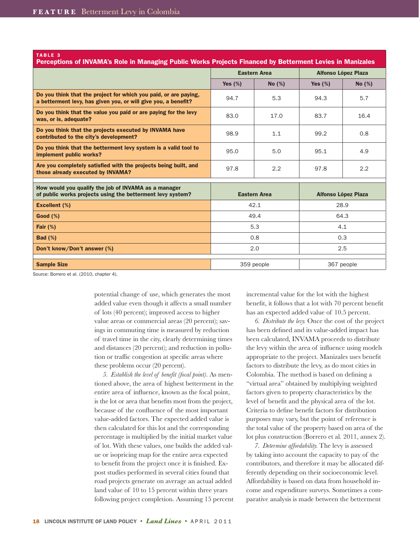| <b>TABLE 3</b><br>Perceptions of INVAMA's Role in Managing Public Works Projects Financed by Betterment Levies in Manizales        |                     |       |                            |           |  |  |  |  |
|------------------------------------------------------------------------------------------------------------------------------------|---------------------|-------|----------------------------|-----------|--|--|--|--|
|                                                                                                                                    | <b>Eastern Area</b> |       | <b>Alfonso López Plaza</b> |           |  |  |  |  |
|                                                                                                                                    | Yes $(\%)$          | No(%) | Yes $(\%)$                 | No $(\%)$ |  |  |  |  |
| Do you think that the project for which you paid, or are paying,<br>a betterment levy, has given you, or will give you, a benefit? | 94.7                | 5.3   | 94.3                       | 5.7       |  |  |  |  |
| Do you think that the value you paid or are paying for the levy<br>was, or is, adequate?                                           | 83.0                | 17.0  | 83.7                       | 16.4      |  |  |  |  |
| Do you think that the projects executed by INVAMA have<br>contributed to the city's development?                                   | 98.9                | 1.1   | 99.2                       | 0.8       |  |  |  |  |
| Do you think that the betterment levy system is a valid tool to<br>implement public works?                                         | 95.0                | 5.0   | 95.1                       | 4.9       |  |  |  |  |
| Are you completely satisfied with the projects being built, and<br>those already executed by INVAMA?                               | 97.8                | 2.2   | 97.8                       | 2.2       |  |  |  |  |
| How would you qualify the job of INVAMA as a manager                                                                               |                     |       |                            |           |  |  |  |  |
| of public works projects using the betterment levy system?                                                                         | <b>Eastern Area</b> |       | <b>Alfonso López Plaza</b> |           |  |  |  |  |
| <b>Excellent (%)</b>                                                                                                               | 42.1                |       | 28.9                       |           |  |  |  |  |
| Good (%)                                                                                                                           | 49.4                |       | 64.3                       |           |  |  |  |  |
| Fair $(\%)$                                                                                                                        | 5.3                 |       | 4.1                        |           |  |  |  |  |
| <b>Bad (%)</b>                                                                                                                     | 0.8                 |       | 0.3                        |           |  |  |  |  |
| Don't know/Don't answer (%)                                                                                                        | 2.0                 |       | 2.5                        |           |  |  |  |  |
| <b>Sample Size</b>                                                                                                                 | 359 people          |       | 367 people                 |           |  |  |  |  |

Source: Borrero et al. (2010, chapter 4).

potential change of use, which generates the most added value even though it affects a small number of lots (40 percent); improved access to higher value areas or commercial areas (20 percent); savings in commuting time is measured by reduction of travel time in the city, clearly determining times and distances (20 percent); and reduction in pollution or traffic congestion at specific areas where these problems occur (20 percent).

*5. Establish the level of benefit (focal point).* As mentioned above, the area of highest betterment in the entire area of influence, known as the focal point, is the lot or area that benefits most from the project, because of the confluence of the most important value-added factors. The expected added value is then calculated for this lot and the corresponding percentage is multiplied by the initial market value of lot. With these values, one builds the added value or isopricing map for the entire area expected to benefit from the project once it is finished. Expost studies performed in several cities found that road projects generate on average an actual added land value of 10 to 15 percent within three years following project completion. Assuming 15 percent incremental value for the lot with the highest benefit, it follows that a lot with 70 percent benefit has an expected added value of 10.5 percent.

*6. Distribute the levy.* Once the cost of the project has been defined and its value-added impact has been calculated, INVAMA proceeds to distribute the levy within the area of influence using models appropriate to the project. Manizales uses benefit factors to distribute the levy, as do most cities in Colombia. The method is based on defining a "virtual area" obtained by multiplying weighted factors given to property characteristics by the level of benefit and the physical area of the lot. Criteria to define benefit factors for distribution purposes may vary, but the point of reference is the total value of the property based on area of the lot plus construction (Borrero et al. 2011, annex 2).

*7. Determine affordability.* The levy is assessed by taking into account the capacity to pay of the contributors, and therefore it may be allocated differently depending on their socioeconomic level. Affordability is based on data from household income and expenditure surveys. Sometimes a comparative analysis is made between the betterment